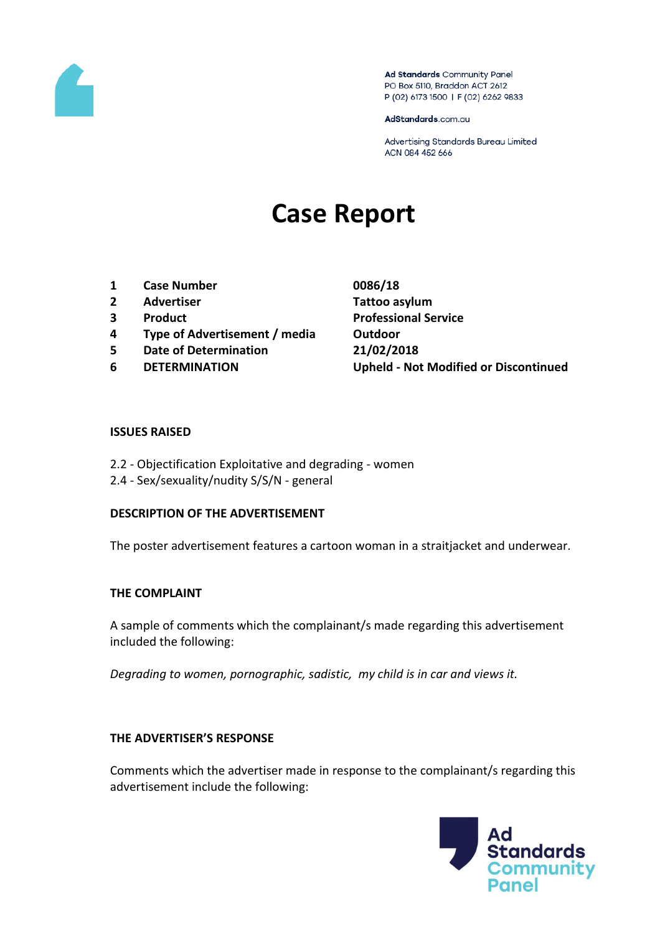

Ad Standards Community Panel PO Box 5110, Braddon ACT 2612 P (02) 6173 1500 | F (02) 6262 9833

AdStandards.com.au

Advertising Standards Bureau Limited ACN 084 452 666

# **Case Report**

- **1 Case Number 0086/18**
- **2 Advertiser Tattoo asylum**
- 
- **4 Type of Advertisement / media Outdoor**
- **5 Date of Determination 21/02/2018**
- 

**3 Product Professional Service 6 DETERMINATION Upheld - Not Modified or Discontinued**

#### **ISSUES RAISED**

- 2.2 Objectification Exploitative and degrading women
- 2.4 Sex/sexuality/nudity S/S/N general

#### **DESCRIPTION OF THE ADVERTISEMENT**

The poster advertisement features a cartoon woman in a straitjacket and underwear.

#### **THE COMPLAINT**

A sample of comments which the complainant/s made regarding this advertisement included the following:

*Degrading to women, pornographic, sadistic, my child is in car and views it.*

#### **THE ADVERTISER'S RESPONSE**

Comments which the advertiser made in response to the complainant/s regarding this advertisement include the following:

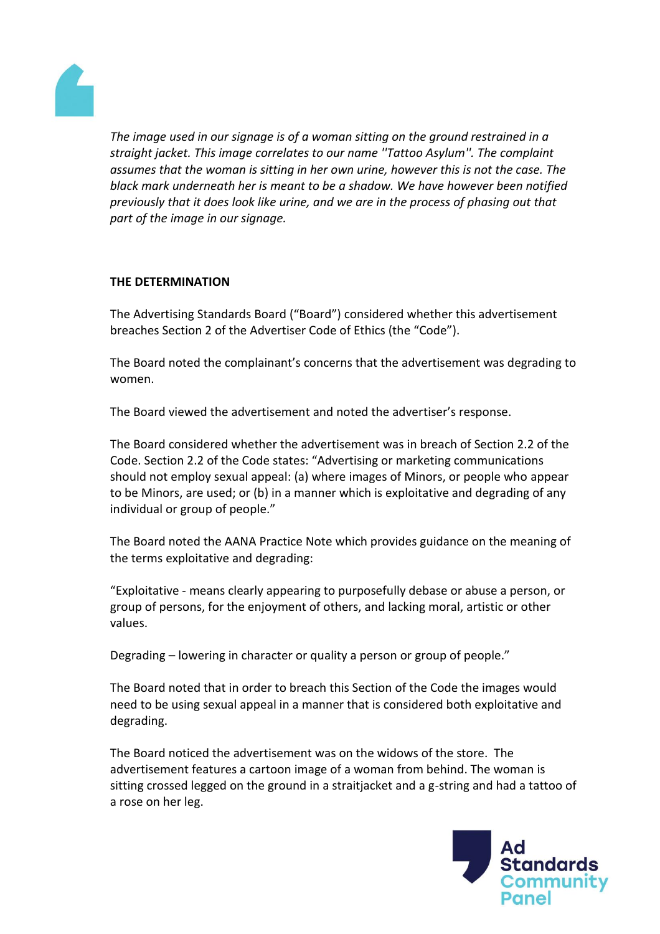

*The image used in our signage is of a woman sitting on the ground restrained in a straight jacket. This image correlates to our name ''Tattoo Asylum''. The complaint assumes that the woman is sitting in her own urine, however this is not the case. The black mark underneath her is meant to be a shadow. We have however been notified previously that it does look like urine, and we are in the process of phasing out that part of the image in our signage.*

## **THE DETERMINATION**

The Advertising Standards Board ("Board") considered whether this advertisement breaches Section 2 of the Advertiser Code of Ethics (the "Code").

The Board noted the complainant's concerns that the advertisement was degrading to women.

The Board viewed the advertisement and noted the advertiser's response.

The Board considered whether the advertisement was in breach of Section 2.2 of the Code. Section 2.2 of the Code states: "Advertising or marketing communications should not employ sexual appeal: (a) where images of Minors, or people who appear to be Minors, are used; or (b) in a manner which is exploitative and degrading of any individual or group of people."

The Board noted the AANA Practice Note which provides guidance on the meaning of the terms exploitative and degrading:

"Exploitative - means clearly appearing to purposefully debase or abuse a person, or group of persons, for the enjoyment of others, and lacking moral, artistic or other values.

Degrading – lowering in character or quality a person or group of people."

The Board noted that in order to breach this Section of the Code the images would need to be using sexual appeal in a manner that is considered both exploitative and degrading.

The Board noticed the advertisement was on the widows of the store. The advertisement features a cartoon image of a woman from behind. The woman is sitting crossed legged on the ground in a straitjacket and a g-string and had a tattoo of a rose on her leg.

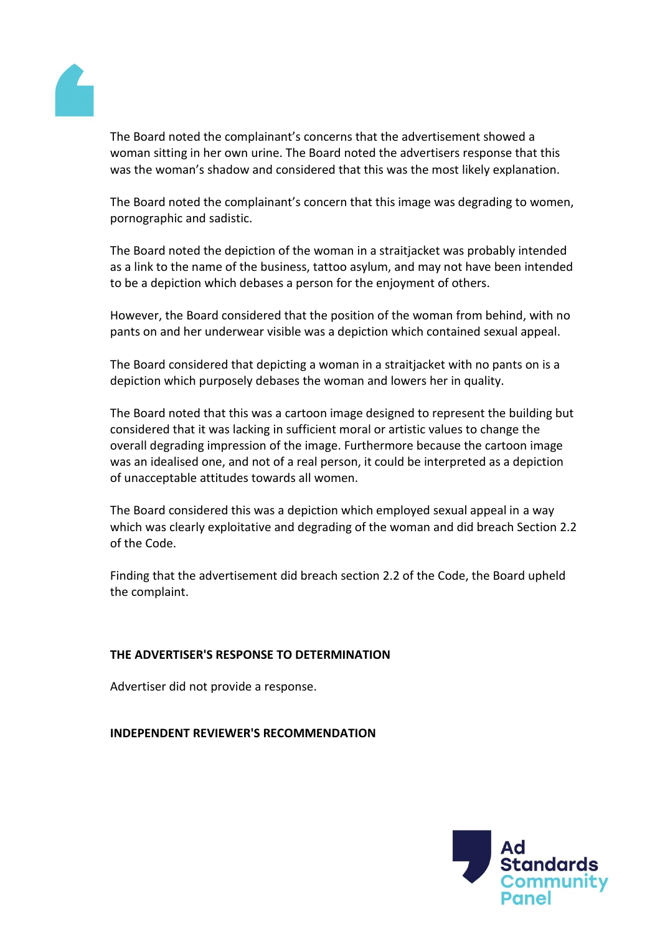

The Board noted the complainant's concerns that the advertisement showed a woman sitting in her own urine. The Board noted the advertisers response that this was the woman's shadow and considered that this was the most likely explanation.

The Board noted the complainant's concern that this image was degrading to women, pornographic and sadistic.

The Board noted the depiction of the woman in a straitjacket was probably intended as a link to the name of the business, tattoo asylum, and may not have been intended to be a depiction which debases a person for the enjoyment of others.

However, the Board considered that the position of the woman from behind, with no pants on and her underwear visible was a depiction which contained sexual appeal.

The Board considered that depicting a woman in a straitjacket with no pants on is a depiction which purposely debases the woman and lowers her in quality.

The Board noted that this was a cartoon image designed to represent the building but considered that it was lacking in sufficient moral or artistic values to change the overall degrading impression of the image. Furthermore because the cartoon image was an idealised one, and not of a real person, it could be interpreted as a depiction of unacceptable attitudes towards all women.

The Board considered this was a depiction which employed sexual appeal in a way which was clearly exploitative and degrading of the woman and did breach Section 2.2 of the Code.

Finding that the advertisement did breach section 2.2 of the Code, the Board upheld the complaint.

## **THE ADVERTISER'S RESPONSE TO DETERMINATION**

Advertiser did not provide a response.

**INDEPENDENT REVIEWER'S RECOMMENDATION**